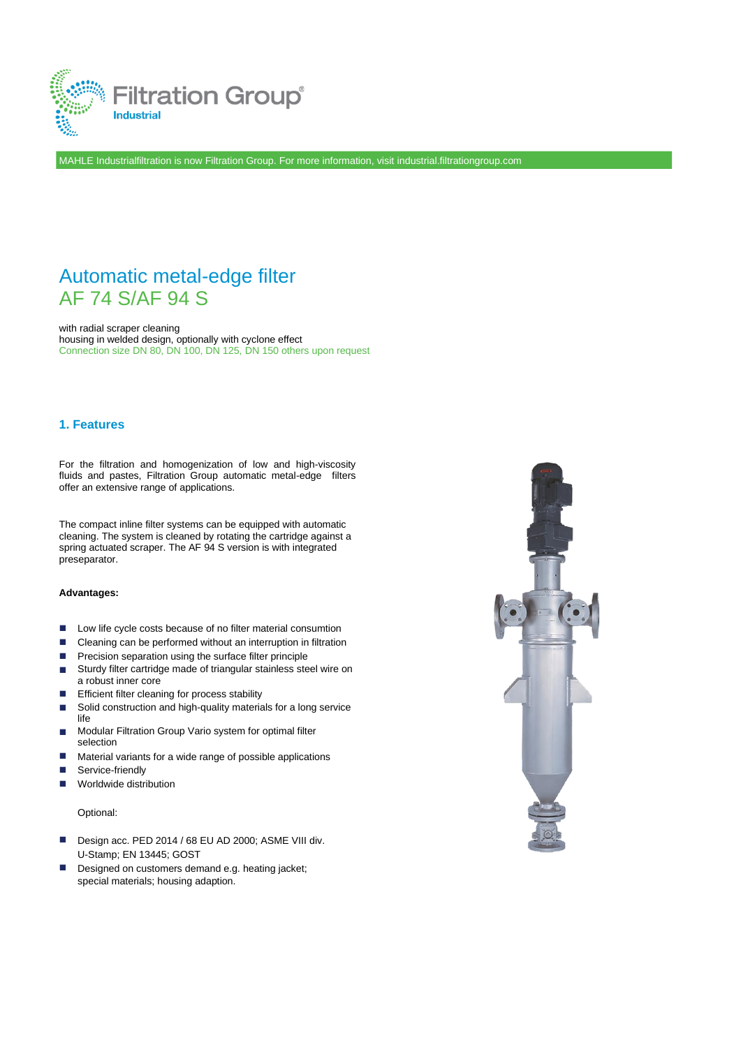

MAHLE Industrialfiltration is now Filtration Group. For more information, visit industrial.filtrationgroup.com

# Automatic metal-edge filter AF 74 S/AF 94 S

with radial scraper cleaning housing in welded design, optionally with cyclone effect Connection size DN 80, DN 100, DN 125, DN 150 others upon request

### **1. Features**

For the filtration and homogenization of low and high-viscosity fluids and pastes, Filtration Group automatic metal-edge filters offer an extensive range of applications.

The compact inline filter systems can be equipped with automatic cleaning. The system is cleaned by rotating the cartridge against a spring actuated scraper. The AF 94 S version is with integrated preseparator.

#### **Advantages:**

- ◼ Low life cycle costs because of no filter material consumtion
- ◼ Cleaning can be performed without an interruption in filtration
- ◼ Precision separation using the surface filter principle
- ◼ Sturdy filter cartridge made of triangular stainless steel wire on a robust inner core
- Efficient filter cleaning for process stability ◼
- Solid construction and high-quality materials for a long service life ◼
- Modular Filtration Group Vario system for optimal filter selection ◼
- Material variants for a wide range of possible applications ◼
- Service-friendly ◼
- Worldwide distribution ◼

Optional:

- Design acc. PED 2014 / 68 EU AD 2000; ASME VIII div. U-Stamp; EN 13445; GOST
- Designed on customers demand e.g. heating jacket; special materials; housing adaption. ◼

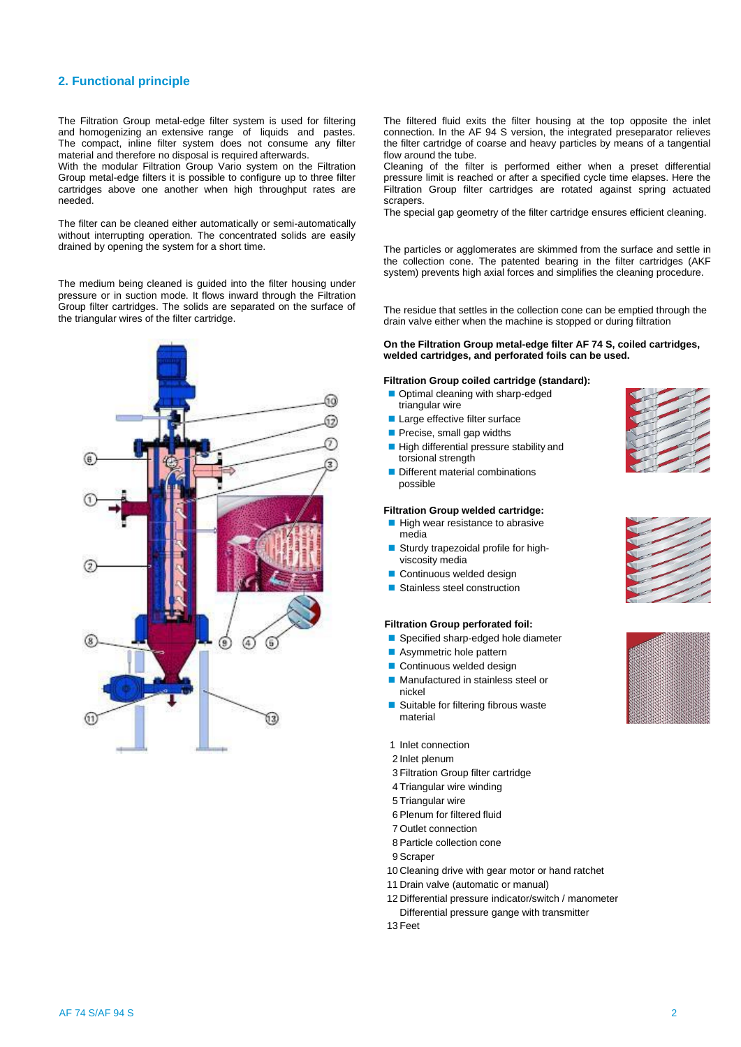### **2. Functional principle**

The Filtration Group metal-edge filter system is used for filtering and homogenizing an extensive range of liquids and pastes. The compact, inline filter system does not consume any filter material and therefore no disposal is required afterwards.

With the modular Filtration Group Vario system on the Filtration Group metal-edge filters it is possible to configure up to three filter cartridges above one another when high throughput rates are needed.

The filter can be cleaned either automatically or semi-automatically without interrupting operation. The concentrated solids are easily drained by opening the system for a short time.

The medium being cleaned is guided into the filter housing under pressure or in suction mode. It flows inward through the Filtration Group filter cartridges. The solids are separated on the surface of the triangular wires of the filter cartridge.



The filtered fluid exits the filter housing at the top opposite the inlet connection. In the AF 94 S version, the integrated preseparator relieves the filter cartridge of coarse and heavy particles by means of a tangential flow around the tube.

Cleaning of the filter is performed either when a preset differential pressure limit is reached or after a specified cycle time elapses. Here the Filtration Group filter cartridges are rotated against spring actuated scrapers.

The special gap geometry of the filter cartridge ensures efficient cleaning.

The particles or agglomerates are skimmed from the surface and settle in the collection cone. The patented bearing in the filter cartridges (AKF system) prevents high axial forces and simplifies the cleaning procedure.

The residue that settles in the collection cone can be emptied through the drain valve either when the machine is stopped or during filtration

#### **On the Filtration Group metal-edge filter AF 74 S, coiled cartridges, welded cartridges, and perforated foils can be used.**

#### **Filtration Group coiled cartridge (standard):**

- Optimal cleaning with sharp-edged triangular wire
- Large effective filter surface
- Precise, small gap widths
- High differential pressure stability and torsional strength
- Different material combinations possible

#### **Filtration Group welded cartridge:**

- High wear resistance to abrasive media
- Sturdy trapezoidal profile for highviscosity media
- Continuous welded design
- Stainless steel construction

#### **Filtration Group perforated foil:**

- Specified sharp-edged hole diameter
- Asymmetric hole pattern
- Continuous welded design
- Manufactured in stainless steel or nickel
- Suitable for filtering fibrous waste material
- 1 Inlet connection
- 2 Inlet plenum
- 3 Filtration Group filter cartridge
- 4 Triangular wire winding
- 5 Triangular wire
- 6 Plenum for filtered fluid
- 7 Outlet connection
- 8 Particle collection cone
- 9 Scraper
- 10 Cleaning drive with gear motor or hand ratchet
- 11 Drain valve (automatic or manual)
- 12 Differential pressure indicator/switch / manometer Differential pressure gange with transmitter

13 Feet



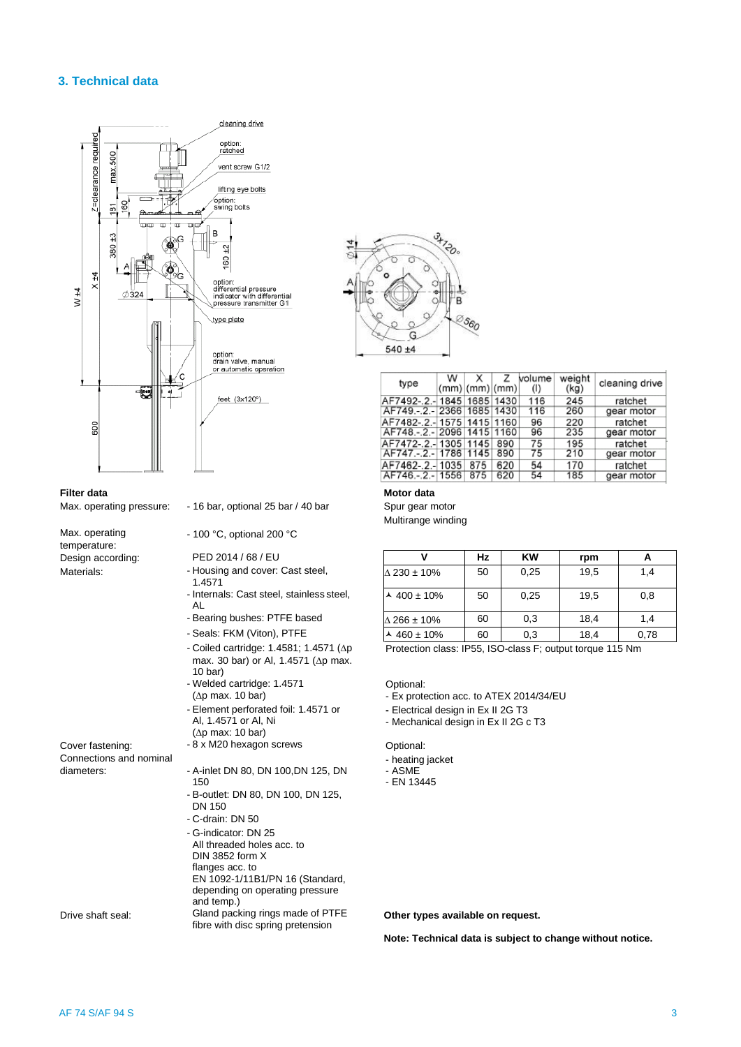### **3. Technical data**



#### **Filter data**

Max. operating pressure:

Max. operating temperature: Design according: Materials:

Cover fastening: Connections and nominal diameters:

- 16 bar, optional 25 bar / 40 bar

- 100 °C, optional 200 °C

PED 2014 / 68 / EU

- Housing and cover: Cast steel, 1.4571
- Internals: Cast steel, stainless steel, AL
- Bearing bushes: PTFE based
- Seals: FKM (Viton), PTFE
- $-$  Coiled cartridge: 1.4581; 1.4571 ( $\Delta p$ max. 30 bar) or Al, 1.4571 ( $\Delta p$  max. 10 bar)
- Welded cartridge: 1.4571  $(\Delta p$  max. 10 bar) - Element perforated foil: 1.4571 or Al, 1.4571 or Al, Ni
- ( $\Delta p$  max: 10 bar)
- 8 x M20 hexagon screws
- A-inlet DN 80, DN 100,DN 125, DN 150
- B-outlet: DN 80, DN 100, DN 125, DN 150
- C-drain: DN 50
- G-indicator: DN 25 All threaded holes acc. to DIN 3852 form X flanges acc. to EN 1092-1/11B1/PN 16 (Standard, depending on operating pressure and temp.) Gland packing rings made of PTFE fibre with disc spring pretension Drive shaft seal: **Other types available on request.**



| type                           | w | x<br>(mm) (mm) (mm) | z   | volume<br>(1) | weight<br>(kg) | cleaning drive |
|--------------------------------|---|---------------------|-----|---------------|----------------|----------------|
| AF7492-.2.- 1845   1685   1430 |   |                     |     | 116           | 245            | ratchet        |
| AF749. . 2. - 2366 1685 1430   |   |                     |     | 116           | 260            | gear motor     |
| AF7482-.2.-1575 1415 1160      |   |                     |     | 96            | 220            | ratchet        |
| AF748 - 2 - 2096 1415 1160     |   |                     |     | 96            | 235            | gear motor     |
| AF7472-.2.-1305 1145           |   |                     | 890 | 75            | 195            | ratchet        |
| AF747.-.2.-178611145           |   |                     | 890 | 75            | 210            | gear motor     |
| AF7462-.2.-1035                |   | 875                 | 620 | 54            | 170            | ratchet        |
| AF746 - 2 - 1556               |   | 875                 | 620 | 54            | 185            | gear motor     |

#### **Motor data**

Spur gear motor Multirange winding

| v                           | Hz | <b>KW</b> | rpm  |      |
|-----------------------------|----|-----------|------|------|
| $\Delta$ 230 ± 10%          | 50 | 0,25      | 19.5 | 1.4  |
| $\frac{\lambda}{400}$ ± 10% | 50 | 0,25      | 19.5 | 0,8  |
| $\Delta$ 266 ± 10%          | 60 | 0,3       | 18.4 | 1.4  |
| $\sim$ 460 ± 10%            | 60 | 0,3       | 18,4 | 0,78 |

Protection class: IP55, ISO-class F; output torque 115 Nm

Optional:

- Ex protection acc. to ATEX 2014/34/EU

**-** Electrical design in Ex II 2G T3

- Mechanical design in Ex II 2G c T3

Optional:

- heating jacket
- ASME
- EN 13445

**Note: Technical data is subject to change without notice.**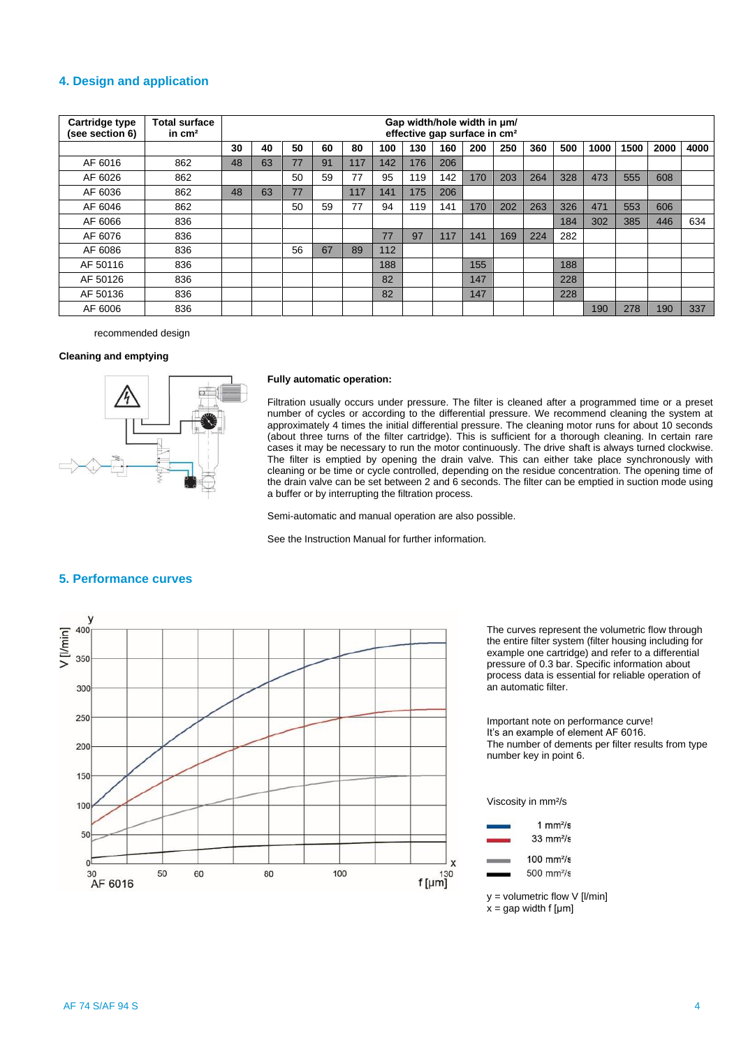### **4. Design and application**

| <b>Cartridge type</b><br>(see section 6) | <b>Total surface</b><br>in $cm2$ |    | Gap width/hole width in $\mu$ m/<br>effective gap surface in cm <sup>2</sup> |    |    |     |     |     |     |     |     |     |     |      |      |      |      |
|------------------------------------------|----------------------------------|----|------------------------------------------------------------------------------|----|----|-----|-----|-----|-----|-----|-----|-----|-----|------|------|------|------|
|                                          |                                  | 30 | 40                                                                           | 50 | 60 | 80  | 100 | 130 | 160 | 200 | 250 | 360 | 500 | 1000 | 1500 | 2000 | 4000 |
| AF 6016                                  | 862                              | 48 | 63                                                                           | 77 | 91 | 117 | 142 | 176 | 206 |     |     |     |     |      |      |      |      |
| AF 6026                                  | 862                              |    |                                                                              | 50 | 59 | 77  | 95  | 119 | 142 | 170 | 203 | 264 | 328 | 473  | 555  | 608  |      |
| AF 6036                                  | 862                              | 48 | 63                                                                           | 77 |    | 117 | 141 | 175 | 206 |     |     |     |     |      |      |      |      |
| AF 6046                                  | 862                              |    |                                                                              | 50 | 59 | 77  | 94  | 119 | 141 | 170 | 202 | 263 | 326 | 471  | 553  | 606  |      |
| AF 6066                                  | 836                              |    |                                                                              |    |    |     |     |     |     |     |     |     | 184 | 302  | 385  | 446  | 634  |
| AF 6076                                  | 836                              |    |                                                                              |    |    |     | 77  | 97  | 117 | 141 | 169 | 224 | 282 |      |      |      |      |
| AF 6086                                  | 836                              |    |                                                                              | 56 | 67 | 89  | 112 |     |     |     |     |     |     |      |      |      |      |
| AF 50116                                 | 836                              |    |                                                                              |    |    |     | 188 |     |     | 155 |     |     | 188 |      |      |      |      |
| AF 50126                                 | 836                              |    |                                                                              |    |    |     | 82  |     |     | 147 |     |     | 228 |      |      |      |      |
| AF 50136                                 | 836                              |    |                                                                              |    |    |     | 82  |     |     | 147 |     |     | 228 |      |      |      |      |
| AF 6006                                  | 836                              |    |                                                                              |    |    |     |     |     |     |     |     |     |     | 190  | 278  | 190  | 337  |

recommended design

#### **Cleaning and emptying**



#### **Fully automatic operation:**

Filtration usually occurs under pressure. The filter is cleaned after a programmed time or a preset number of cycles or according to the differential pressure. We recommend cleaning the system at approximately 4 times the initial differential pressure. The cleaning motor runs for about 10 seconds (about three turns of the filter cartridge). This is sufficient for a thorough cleaning. In certain rare cases it may be necessary to run the motor continuously. The drive shaft is always turned clockwise. The filter is emptied by opening the drain valve. This can either take place synchronously with cleaning or be time or cycle controlled, depending on the residue concentration. The opening time of the drain valve can be set between 2 and 6 seconds. The filter can be emptied in suction mode using a buffer or by interrupting the filtration process.

Semi-automatic and manual operation are also possible.

See the Instruction Manual for further information.



The curves represent the volumetric flow through the entire filter system (filter housing including for example one cartridge) and refer to a differential pressure of 0.3 bar. Specific information about process data is essential for reliable operation of an automatic filter.

Important note on performance curve! It's an example of element AF 6016. The number of dements per filter results from type number key in point 6.

Viscosity in mm²/s



 $y =$  volumetric flow  $V$  [l/min]  $x =$  gap width f [µm]

# **5. Performance curves**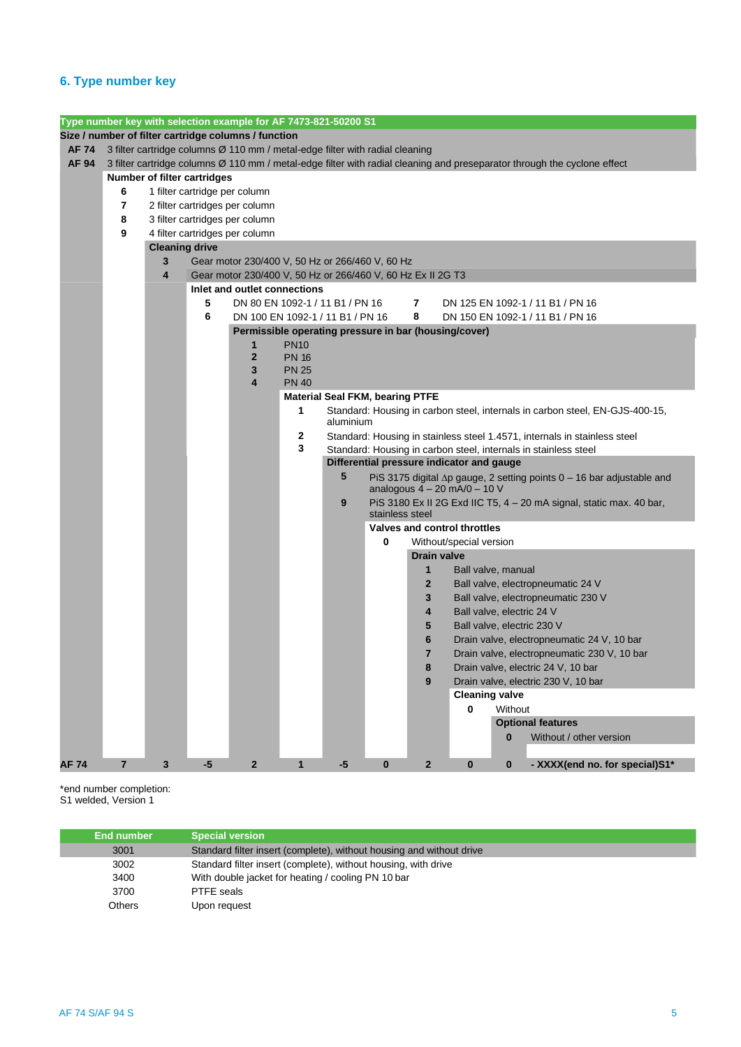# **6. Type number key**

|             |                                                                                                                          |                       |      | Type number key with selection example for AF 7473-821-50200 S1 |              |           |                                        |                    |                                           |                                                                              |  |
|-------------|--------------------------------------------------------------------------------------------------------------------------|-----------------------|------|-----------------------------------------------------------------|--------------|-----------|----------------------------------------|--------------------|-------------------------------------------|------------------------------------------------------------------------------|--|
|             | Size / number of filter cartridge columns / function                                                                     |                       |      |                                                                 |              |           |                                        |                    |                                           |                                                                              |  |
| AF 74       | 3 filter cartridge columns Ø 110 mm / metal-edge filter with radial cleaning                                             |                       |      |                                                                 |              |           |                                        |                    |                                           |                                                                              |  |
| AF 94       | 3 filter cartridge columns Ø 110 mm / metal-edge filter with radial cleaning and preseparator through the cyclone effect |                       |      |                                                                 |              |           |                                        |                    |                                           |                                                                              |  |
|             | Number of filter cartridges                                                                                              |                       |      |                                                                 |              |           |                                        |                    |                                           |                                                                              |  |
|             | 6<br>1 filter cartridge per column                                                                                       |                       |      |                                                                 |              |           |                                        |                    |                                           |                                                                              |  |
|             | 7<br>2 filter cartridges per column                                                                                      |                       |      |                                                                 |              |           |                                        |                    |                                           |                                                                              |  |
|             | 8<br>3 filter cartridges per column                                                                                      |                       |      |                                                                 |              |           |                                        |                    |                                           |                                                                              |  |
|             | 9<br>4 filter cartridges per column                                                                                      |                       |      |                                                                 |              |           |                                        |                    |                                           |                                                                              |  |
|             |                                                                                                                          | <b>Cleaning drive</b> |      |                                                                 |              |           |                                        |                    |                                           |                                                                              |  |
|             |                                                                                                                          | 3                     |      | Gear motor 230/400 V, 50 Hz or 266/460 V, 60 Hz                 |              |           |                                        |                    |                                           |                                                                              |  |
|             |                                                                                                                          | 4                     |      | Gear motor 230/400 V, 50 Hz or 266/460 V, 60 Hz Ex II 2G T3     |              |           |                                        |                    |                                           |                                                                              |  |
|             |                                                                                                                          |                       |      | Inlet and outlet connections                                    |              |           |                                        |                    |                                           |                                                                              |  |
|             |                                                                                                                          |                       | 5    | DN 80 EN 1092-1 / 11 B1 / PN 16                                 |              |           |                                        | 7                  |                                           | DN 125 EN 1092-1 / 11 B1 / PN 16                                             |  |
|             |                                                                                                                          |                       | 6    | DN 100 EN 1092-1 / 11 B1 / PN 16                                |              |           |                                        | 8                  |                                           | DN 150 EN 1092-1 / 11 B1 / PN 16                                             |  |
|             |                                                                                                                          |                       |      | Permissible operating pressure in bar (housing/cover)           |              |           |                                        |                    |                                           |                                                                              |  |
|             |                                                                                                                          |                       |      | 1                                                               | <b>PN10</b>  |           |                                        |                    |                                           |                                                                              |  |
|             |                                                                                                                          |                       |      | $\overline{2}$                                                  | <b>PN 16</b> |           |                                        |                    |                                           |                                                                              |  |
|             |                                                                                                                          |                       |      | 3                                                               | <b>PN 25</b> |           |                                        |                    |                                           |                                                                              |  |
|             |                                                                                                                          |                       |      | 4                                                               | <b>PN 40</b> |           |                                        |                    |                                           |                                                                              |  |
|             |                                                                                                                          |                       |      |                                                                 |              |           | <b>Material Seal FKM, bearing PTFE</b> |                    |                                           |                                                                              |  |
|             |                                                                                                                          |                       |      |                                                                 | 1            | aluminium |                                        |                    |                                           | Standard: Housing in carbon steel, internals in carbon steel, EN-GJS-400-15, |  |
|             |                                                                                                                          |                       |      |                                                                 | 2            |           |                                        |                    |                                           | Standard: Housing in stainless steel 1.4571, internals in stainless steel    |  |
|             |                                                                                                                          |                       |      |                                                                 | 3            |           |                                        |                    |                                           | Standard: Housing in carbon steel, internals in stainless steel              |  |
|             |                                                                                                                          |                       |      |                                                                 |              |           |                                        |                    | Differential pressure indicator and gauge |                                                                              |  |
|             |                                                                                                                          |                       |      |                                                                 |              | 5         |                                        |                    |                                           | PiS 3175 digital ∆p gauge, 2 setting points 0 - 16 bar adjustable and        |  |
|             |                                                                                                                          |                       |      |                                                                 |              |           |                                        |                    | analogous $4 - 20$ mA/0 $- 10$ V          |                                                                              |  |
|             |                                                                                                                          |                       |      |                                                                 |              | 9         |                                        |                    |                                           | PiS 3180 Ex II 2G Exd IIC T5, 4 - 20 mA signal, static max. 40 bar,          |  |
|             |                                                                                                                          |                       |      |                                                                 |              |           | stainless steel                        |                    |                                           |                                                                              |  |
|             |                                                                                                                          |                       |      |                                                                 |              |           |                                        |                    | Valves and control throttles              |                                                                              |  |
|             |                                                                                                                          |                       |      |                                                                 |              |           | 0                                      |                    | Without/special version                   |                                                                              |  |
|             |                                                                                                                          |                       |      |                                                                 |              |           |                                        | <b>Drain valve</b> |                                           |                                                                              |  |
|             |                                                                                                                          |                       |      |                                                                 |              |           |                                        | 1                  | Ball valve, manual                        |                                                                              |  |
|             |                                                                                                                          |                       |      |                                                                 |              |           |                                        | $\mathbf{2}$       |                                           | Ball valve, electropneumatic 24 V                                            |  |
|             |                                                                                                                          |                       |      |                                                                 |              |           |                                        | 3                  |                                           | Ball valve, electropneumatic 230 V                                           |  |
|             |                                                                                                                          |                       |      |                                                                 |              |           |                                        | 4                  |                                           | Ball valve, electric 24 V                                                    |  |
|             |                                                                                                                          |                       |      |                                                                 |              |           |                                        | 5                  |                                           | Ball valve, electric 230 V                                                   |  |
|             |                                                                                                                          |                       |      |                                                                 |              |           |                                        | 6                  |                                           | Drain valve, electropneumatic 24 V, 10 bar                                   |  |
|             |                                                                                                                          |                       |      |                                                                 |              |           |                                        | 7<br>8             |                                           | Drain valve, electropneumatic 230 V, 10 bar                                  |  |
|             |                                                                                                                          |                       |      |                                                                 |              |           |                                        |                    |                                           | Drain valve, electric 24 V, 10 bar<br>Drain valve, electric 230 V, 10 bar    |  |
|             |                                                                                                                          |                       |      |                                                                 |              |           |                                        | 9                  | <b>Cleaning valve</b>                     |                                                                              |  |
|             |                                                                                                                          |                       |      |                                                                 |              |           |                                        |                    | 0                                         | Without                                                                      |  |
|             |                                                                                                                          |                       |      |                                                                 |              |           |                                        |                    |                                           | <b>Optional features</b>                                                     |  |
|             |                                                                                                                          |                       |      |                                                                 |              |           |                                        |                    |                                           | Without / other version<br>$\bf{0}$                                          |  |
|             |                                                                                                                          |                       |      |                                                                 |              |           |                                        |                    |                                           |                                                                              |  |
| <b>AF74</b> | $\overline{7}$                                                                                                           | $\mathbf{3}$          | $-5$ | $\overline{2}$                                                  | $\mathbf{1}$ | $-5$      | $\pmb{0}$                              | $\mathbf 2$        | $\mathbf 0$                               | - XXXX(end no. for special)S1*<br>$\bf{0}$                                   |  |
|             |                                                                                                                          |                       |      |                                                                 |              |           |                                        |                    |                                           |                                                                              |  |

\*end number completion: S1 welded, Version 1

| End number | <b>Special version</b>                                               |
|------------|----------------------------------------------------------------------|
| 3001       | Standard filter insert (complete), without housing and without drive |
| 3002       | Standard filter insert (complete), without housing, with drive       |
| 3400       | With double jacket for heating / cooling PN 10 bar                   |
| 3700       | PTFE seals                                                           |
| Others     | Upon request                                                         |